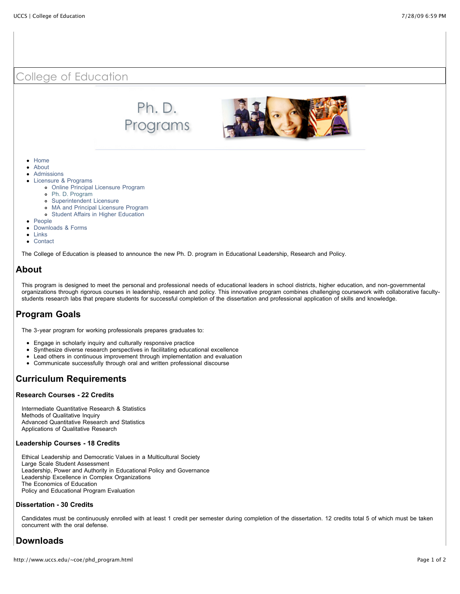

# **About**

This program is designed to meet the personal and professional needs of educational leaders in school districts, higher education, and non-governmental organizations through rigorous courses in leadership, research and policy. This innovative program combines challenging coursework with collaborative facultystudents research labs that prepare students for successful completion of the dissertation and professional application of skills and knowledge.

## **Program Goals**

The 3-year program for working professionals prepares graduates to:

- Engage in scholarly inquiry and culturally responsive practice
- Synthesize diverse research perspectives in facilitating educational excellence  $\bullet$
- Lead others in continuous improvement through implementation and evaluation
- Communicate successfully through oral and written professional discourse

## **Curriculum Requirements**

#### **Research Courses - 22 Credits**

Intermediate Quantitative Research & Statistics Methods of Qualitative Inquiry Advanced Quantitative Research and Statistics Applications of Qualitative Research

#### **Leadership Courses - 18 Credits**

Ethical Leadership and Democratic Values in a Multicultural Society Large Scale Student Assessment Leadership, Power and Authority in Educational Policy and Governance Leadership Excellence in Complex Organizations The Economics of Education Policy and Educational Program Evaluation

#### **Dissertation - 30 Credits**

Candidates must be continuously enrolled with at least 1 credit per semester during completion of the dissertation. 12 credits total 5 of which must be taken concurrent with the oral defense.

## **Downloads**